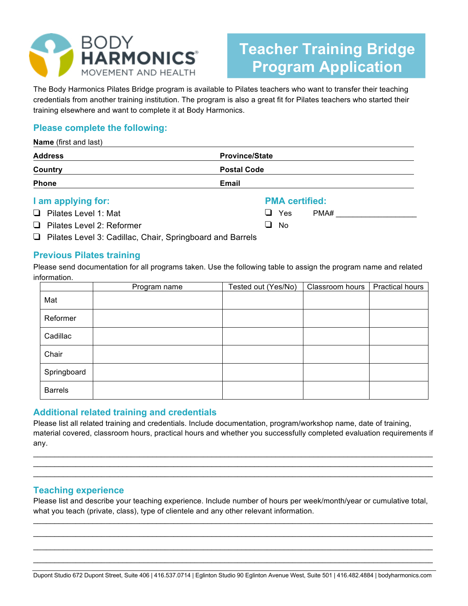

The Body Harmonics Pilates Bridge program is available to Pilates teachers who want to transfer their teaching credentials from another training institution. The program is also a great fit for Pilates teachers who started their training elsewhere and want to complete it at Body Harmonics.

# **Please complete the following:**

**Name** (first and last)

| <b>Address</b>                   | <b>Province/State</b>         |  |  |
|----------------------------------|-------------------------------|--|--|
| Country                          | <b>Postal Code</b>            |  |  |
| <b>Phone</b>                     | <b>Email</b>                  |  |  |
| I am applying for:               | <b>PMA certified:</b>         |  |  |
| $\Box$ Pilates Level 1: Mat      | Yes<br>PMA#<br>$\blacksquare$ |  |  |
| $\Box$ Pilates Level 2: Reformer | ┚<br>No                       |  |  |

❑ Pilates Level 3: Cadillac, Chair, Springboard and Barrels

#### **Previous Pilates training**

Please send documentation for all programs taken. Use the following table to assign the program name and related information.

|                | Program name | Tested out (Yes/No) | Classroom hours | <b>Practical hours</b> |
|----------------|--------------|---------------------|-----------------|------------------------|
| Mat            |              |                     |                 |                        |
| Reformer       |              |                     |                 |                        |
| Cadillac       |              |                     |                 |                        |
| Chair          |              |                     |                 |                        |
| Springboard    |              |                     |                 |                        |
| <b>Barrels</b> |              |                     |                 |                        |

#### **Additional related training and credentials**

Please list all related training and credentials. Include documentation, program/workshop name, date of training, material covered, classroom hours, practical hours and whether you successfully completed evaluation requirements if any.

 $\_$  , and the state of the state of the state of the state of the state of the state of the state of the state of the state of the state of the state of the state of the state of the state of the state of the state of the  $\mathcal{L}_\mathcal{L} = \{ \mathcal{L}_\mathcal{L} = \{ \mathcal{L}_\mathcal{L} = \{ \mathcal{L}_\mathcal{L} = \{ \mathcal{L}_\mathcal{L} = \{ \mathcal{L}_\mathcal{L} = \{ \mathcal{L}_\mathcal{L} = \{ \mathcal{L}_\mathcal{L} = \{ \mathcal{L}_\mathcal{L} = \{ \mathcal{L}_\mathcal{L} = \{ \mathcal{L}_\mathcal{L} = \{ \mathcal{L}_\mathcal{L} = \{ \mathcal{L}_\mathcal{L} = \{ \mathcal{L}_\mathcal{L} = \{ \mathcal{L}_\mathcal{$  $\mathcal{L}_\mathcal{L} = \{ \mathcal{L}_\mathcal{L} = \{ \mathcal{L}_\mathcal{L} = \{ \mathcal{L}_\mathcal{L} = \{ \mathcal{L}_\mathcal{L} = \{ \mathcal{L}_\mathcal{L} = \{ \mathcal{L}_\mathcal{L} = \{ \mathcal{L}_\mathcal{L} = \{ \mathcal{L}_\mathcal{L} = \{ \mathcal{L}_\mathcal{L} = \{ \mathcal{L}_\mathcal{L} = \{ \mathcal{L}_\mathcal{L} = \{ \mathcal{L}_\mathcal{L} = \{ \mathcal{L}_\mathcal{L} = \{ \mathcal{L}_\mathcal{$ 

#### **Teaching experience**

Please list and describe your teaching experience. Include number of hours per week/month/year or cumulative total, what you teach (private, class), type of clientele and any other relevant information.  $\mathcal{L}_\mathcal{L} = \{ \mathcal{L}_\mathcal{L} = \{ \mathcal{L}_\mathcal{L} = \{ \mathcal{L}_\mathcal{L} = \{ \mathcal{L}_\mathcal{L} = \{ \mathcal{L}_\mathcal{L} = \{ \mathcal{L}_\mathcal{L} = \{ \mathcal{L}_\mathcal{L} = \{ \mathcal{L}_\mathcal{L} = \{ \mathcal{L}_\mathcal{L} = \{ \mathcal{L}_\mathcal{L} = \{ \mathcal{L}_\mathcal{L} = \{ \mathcal{L}_\mathcal{L} = \{ \mathcal{L}_\mathcal{L} = \{ \mathcal{L}_\mathcal{$ 

 $\mathcal{L}_\mathcal{L} = \{ \mathcal{L}_\mathcal{L} = \{ \mathcal{L}_\mathcal{L} = \{ \mathcal{L}_\mathcal{L} = \{ \mathcal{L}_\mathcal{L} = \{ \mathcal{L}_\mathcal{L} = \{ \mathcal{L}_\mathcal{L} = \{ \mathcal{L}_\mathcal{L} = \{ \mathcal{L}_\mathcal{L} = \{ \mathcal{L}_\mathcal{L} = \{ \mathcal{L}_\mathcal{L} = \{ \mathcal{L}_\mathcal{L} = \{ \mathcal{L}_\mathcal{L} = \{ \mathcal{L}_\mathcal{L} = \{ \mathcal{L}_\mathcal{$  $\_$  , and the state of the state of the state of the state of the state of the state of the state of the state of the state of the state of the state of the state of the state of the state of the state of the state of the  $\_$  , and the state of the state of the state of the state of the state of the state of the state of the state of the state of the state of the state of the state of the state of the state of the state of the state of the